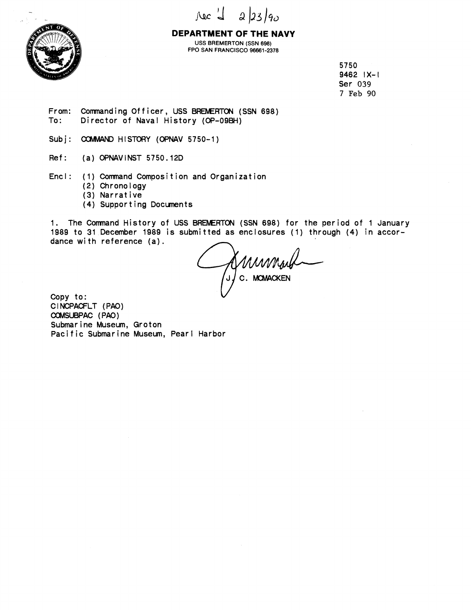



**DEPARTMENT OF THE NAVY USS BREMERTON (SSN 698) FPO SAN FRANCISCO 96661-2378** 

> 5750 9462 IX-l Ser **039**  7 **Feb 90**

From: Commanding Officer, USS BREMERTON (SSN 698)<br>To: Director of Naval History (OP-09BH) Director of Naval History (OP-09BH)

Subj: COMMAND HISTORY (OPNAV 5750-1)

Ref: (a) OPNAVINST 5750.12D

Encl: (1) Comnand Composition and Organization

- (2) Chronology
- (3) Narrative
- (4) Supporting Documents

1. The Comnand History of USS **BRENERTON** (SSN 698) for the period of 1 January 1989 to 31 December 1989 is submitted as enclosures (1) through (4) in accordance with reference (a).

AMMMANG

Copy to: CINCPACFLT (PAO) COMSUBPAC (PAO) Submarine Museum, Groton Pacific Submarine Museum, Pearl Harbor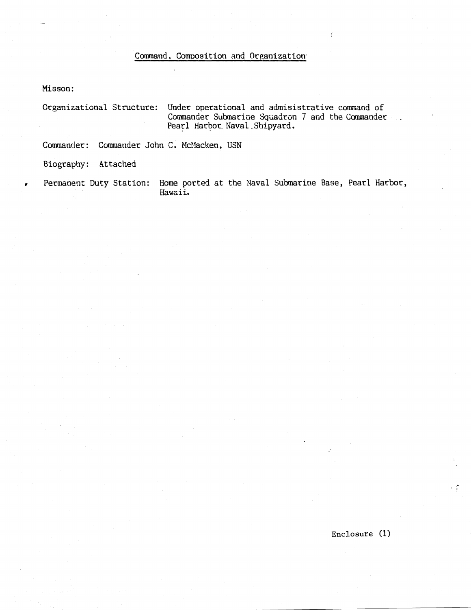## Command, Composition and Organization

Misson:

Organizational Structure: Under operational and admisistrative command of Commander Submarine Squadron 7 and the Commander. Pearl Harbor Naval Shipyard.

Commander: Commander John C. McMacken, USN

Biography: Attached

Permanent Duty Station: Home ported at the Naval Submarine Base, Pearl Harbor, Hawaii.

Enclosure  $(1)$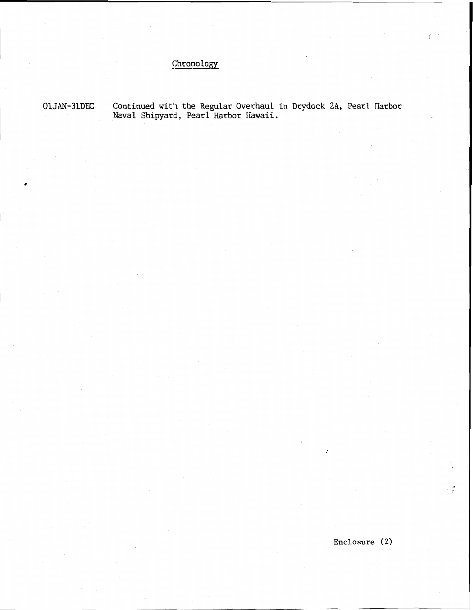## Chronology

OlJAN-31DEC **Continued with the Regular Overhaul in Dqdock 2A, Pearl Harbor Naval Shipyard, Pearl Harbor Eiawaii.** 

**Enclosure** (2)

م .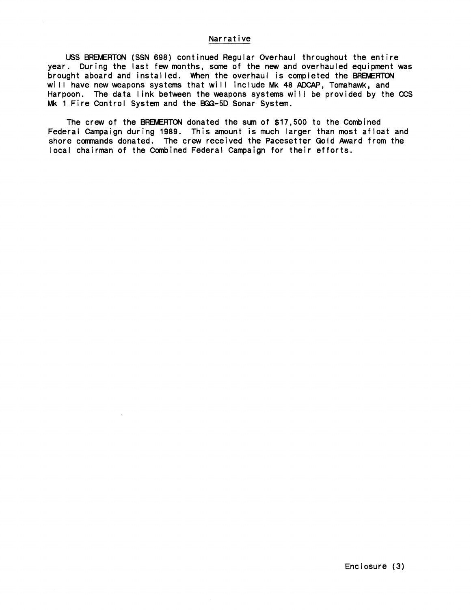## **Narrative**

**USS BREMENON (SSN 698) continued Regular Overhaul throughout the entire year. During the last few months, some of the new and overhauled equipment was**  brought aboard and installed. When the overhaul is completed the BREMERTON **will have new weapons systems that will include Mk 48 ADCAP, Tomahawk, and Harpoon. The data link between the weapons systems will be provided by the CCS Mk 1 Fire Control System and the BGX3-5D Sonar System.** 

**The crew of the BRENERTON donated the sun of \$17,500 to the Combined Federal Campaign during 1989. This amount is much larger than most afloat and**  shore commands donated. The crew received the Pacesetter Gold Award from the **local chairman of the Combined Federal Campaign for their efforts.**